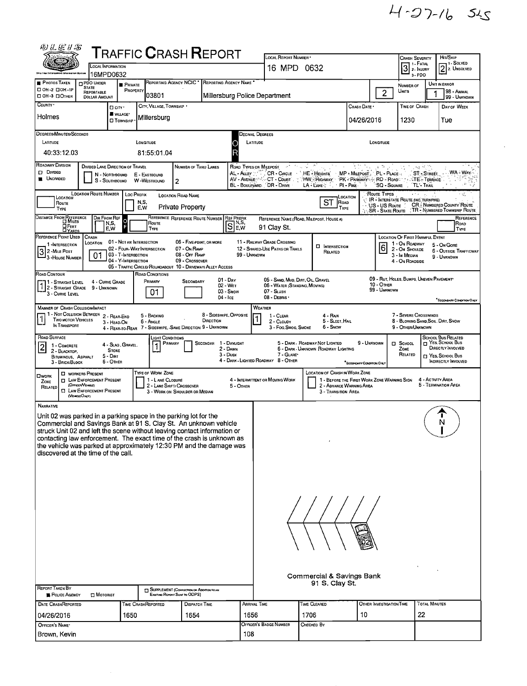$4 - 27 - 165$ 

| 砂兰运甘富                                                                                                                                                                                                                                                                                                                                                                                                                      |                                                                                                                                       |                                                                                                      | <b>TRAFFIC CRASH REPORT</b>                                                            |                                                                             |                                      |                                       | LOCAL REPORT NUMBER                                                                               |                                                                                                                                            |                                                      |                                                                        |                                                                                                                |                                                                          |                                                                                                                      |
|----------------------------------------------------------------------------------------------------------------------------------------------------------------------------------------------------------------------------------------------------------------------------------------------------------------------------------------------------------------------------------------------------------------------------|---------------------------------------------------------------------------------------------------------------------------------------|------------------------------------------------------------------------------------------------------|----------------------------------------------------------------------------------------|-----------------------------------------------------------------------------|--------------------------------------|---------------------------------------|---------------------------------------------------------------------------------------------------|--------------------------------------------------------------------------------------------------------------------------------------------|------------------------------------------------------|------------------------------------------------------------------------|----------------------------------------------------------------------------------------------------------------|--------------------------------------------------------------------------|----------------------------------------------------------------------------------------------------------------------|
|                                                                                                                                                                                                                                                                                                                                                                                                                            |                                                                                                                                       | <b>LOCAL INFORMATION</b>                                                                             |                                                                                        |                                                                             |                                      |                                       | 16 MPD 0632                                                                                       |                                                                                                                                            |                                                      |                                                                        | <b>CRASH SEVERITY</b><br>  1 - Fatal<br>$3$ $\frac{1.2544}{2.1}$                                               |                                                                          | Hm/SKIP<br>- 1 - Solved<br>$2$ 2. UNSOLVED                                                                           |
| <b>PHOTOS TAKEN</b>                                                                                                                                                                                                                                                                                                                                                                                                        | PDO UNDER                                                                                                                             | 16MPD0632<br>PRIVATE                                                                                 |                                                                                        | REPORTING AGENCY NCIC <sup>*</sup>                                          | REPORTING AGENCY NAME                |                                       |                                                                                                   |                                                                                                                                            |                                                      |                                                                        | 3-PDO<br>NUMBER OF                                                                                             |                                                                          | UNIT IN ERROR                                                                                                        |
| □ OH-2 □ OH-1P<br>OH-3 DOTHER                                                                                                                                                                                                                                                                                                                                                                                              | <b>STATE</b><br>REPORTABLE<br><b>DOLLAR AMOUNT</b>                                                                                    | PROPERTY                                                                                             | 03801                                                                                  |                                                                             |                                      |                                       | Millersburg Police Department                                                                     |                                                                                                                                            |                                                      | 2 <sup>1</sup>                                                         | Units                                                                                                          | 1                                                                        | 98 - Animal<br>99 - UNKNOWN                                                                                          |
| COUNTY .                                                                                                                                                                                                                                                                                                                                                                                                                   |                                                                                                                                       | <b>O</b> CITY'                                                                                       | CITY, VILLAGE, TOWNSHIP                                                                |                                                                             |                                      |                                       |                                                                                                   |                                                                                                                                            | CRASH DATE                                           |                                                                        | TIME OF CRASH                                                                                                  |                                                                          | DAY OF WEEK                                                                                                          |
| Holmes                                                                                                                                                                                                                                                                                                                                                                                                                     |                                                                                                                                       | <b>UVILLAGE*</b><br><b>O</b> TOWNSHIP                                                                | Millersburg                                                                            |                                                                             |                                      |                                       |                                                                                                   |                                                                                                                                            | 04/26/2016                                           |                                                                        | 1230                                                                                                           |                                                                          | Tue                                                                                                                  |
| DEGREES/MINUTES/SECONDS                                                                                                                                                                                                                                                                                                                                                                                                    |                                                                                                                                       |                                                                                                      |                                                                                        |                                                                             |                                      |                                       | Decimal Degrees                                                                                   |                                                                                                                                            |                                                      |                                                                        |                                                                                                                |                                                                          |                                                                                                                      |
| LATITUDE<br>40:33:12.03                                                                                                                                                                                                                                                                                                                                                                                                    |                                                                                                                                       |                                                                                                      | LONGITUDE<br>81:55:01.04                                                               |                                                                             |                                      | LATITUDE<br>O                         |                                                                                                   |                                                                                                                                            |                                                      | LONGITUDE                                                              |                                                                                                                |                                                                          |                                                                                                                      |
| ROADWAY DIVISION<br>D DIVIDED<br><b>UNDIVIDED</b>                                                                                                                                                                                                                                                                                                                                                                          |                                                                                                                                       | DIVIDED LANE DIRECTION OF TRAVEL<br>N - Northbound<br>S - Southbound                                 | E - EASTBOUND<br>W WESTBOUND                                                           | NUMBER OF THRU LANES<br>$\overline{c}$                                      |                                      | AL - ALLEY M<br><b>BL</b> - BOULEVARD | ROAD TYPES OR MILEPOST AND ACCEPTED AT A COMPANY<br>DR - DRIVE                                    | CR - CIRCLE HE - HEIGHTS MP - MILEPOST PL - PLACE<br>AV - AVENUE SOCT - COURT : HW - HIGHWAY PK - PARKWAY & RD - ROAD<br>LA LANE : PI PIKE | -9                                                   | $\chi$ . The $\chi^2$<br>"SQ - SQUARE                                  |                                                                                                                | Ling of The<br><b>ST-STREET</b><br><b>TAN STE - TERRACE</b><br>TL'-TRAIL | WA - WAY-                                                                                                            |
| LOCATION<br>Route<br>TYPE                                                                                                                                                                                                                                                                                                                                                                                                  | <b>LOCATION ROUTE NUMBER</b>                                                                                                          | <b>Loc PREFIX</b>                                                                                    | N,S,<br>E,W                                                                            | <b>LOCATION ROAD NAME</b><br><b>Private Property</b>                        |                                      |                                       |                                                                                                   | <b>ST</b><br>ROAD<br>TYPE                                                                                                                  | LOCATION                                             | Route Types<br><b>IR - INTERSTATE ROUTE (INC. TURNPIKE)</b>            |                                                                                                                |                                                                          | ٠ı۶,<br>US - US ROUTE [ CR. NUMBERED COUNTY ROUTE<br>SR - STATE ROUTE TR - NUMBERED TOWNSHIP ROUTE                   |
| DISTANCE FROM REFERENCE<br>⊔ Гвет<br><b>DYARDS</b>                                                                                                                                                                                                                                                                                                                                                                         |                                                                                                                                       | DIR FROM REF<br>$\circ$<br>N,S,<br>F<br>E W                                                          | ROUTE<br><b>TYPE</b>                                                                   | REFERENCE REFERENCE ROUTE NUMBER REF PREEIX                                 |                                      | $[S]_{\text{EW}}^{\text{N,S}}$        | 91 Clay St.                                                                                       | REFERENCE NAME (ROAD, MILEPOST, HOUSE 4)                                                                                                   |                                                      |                                                                        |                                                                                                                |                                                                          | REFERENCE<br>ROAD<br>TYPE                                                                                            |
| REFERENCE POINT USED<br>1 -INTERSECTION<br>$32$ -Mile Post<br>- 3 - House Number                                                                                                                                                                                                                                                                                                                                           | CRASH<br>LOCATION<br>01                                                                                                               | 01 - NOT AN INTERSECTION<br>02 - FOUR-WAY INTERSECTION<br>03 - T-INTERSECTION<br>04 - Y-INTERSECTION | 05 - TRAFFIC CIRCLE/ ROUNDABOUT 10 - DRIVEWAY/ ALLEY ACCESS                            | 06 - FIVE-PDINT, OR MORE<br>07 - On RAMP<br>08 - Off RAMP<br>09 - Crossover |                                      | 99 - UNKNOWN                          | 11 - RAILWAY GRADE CROSSING<br>12 - SHARED-USE PATHS OR TRAILS                                    | <b>D</b> INTERSECTION<br>RELATED                                                                                                           |                                                      | 6                                                                      | <b>LOCATION OF FIRST HARMFUL EVENT</b><br>1 - On ROADWAY<br>2 - On Shoulde<br>3 - In MEDIAN<br>4 - On ROADSIDE |                                                                          | 5 - On Gore<br><b>6 - OUTSIDE TRAFFICWAY</b><br>9 - UNKNOWN                                                          |
| ROAD CONTOUR<br>11 - Straight Level<br>1 2 - STRAIGHT GRADE 9 - UNKNOWN<br>3 - CURVE LEVEL                                                                                                                                                                                                                                                                                                                                 |                                                                                                                                       | 4 - CURVE GRADE                                                                                      | ROAD CONDITIONS<br>PRIMARY<br>01                                                       | <b>SECONDARY</b>                                                            | 01 - Day<br>04 - Ice                 | 02 - Wer<br>03 - Snow                 | 05 - SAND, MUD, DIRT, OIL, GRAVEL<br>06 - WATER (STANDING, MOVING)<br>07 - SLUSH<br>08 - DEBRIS · |                                                                                                                                            |                                                      | 09 - RUT, HOLES, BUMPS, UNEVEN PAVEMENT*<br>10 - OTHER<br>99 - Unknown |                                                                                                                |                                                                          | SECONDARY CONDITION ONLY                                                                                             |
| <b>MANNER OF CRASH COLLISION/IMPACT</b><br>1 - Not Collision Between 2 - Rear-End<br>$\overline{1}$<br><b>TWO MOTOR VEHICLES</b><br>IN TRANSPORT                                                                                                                                                                                                                                                                           |                                                                                                                                       | 3 - HEAD ON                                                                                          | 5 - BACKING<br>6 - Angle<br>4 - REAR-TO-REAR 7 - SIDESWIPE, SAME DIRECTION 9 - UNKNOWN |                                                                             | 8 - SIDESWIPE, OPPOSITE<br>DIRECTION |                                       | WEATHER<br>1 - Clear<br>2 - CLOUDY<br>3 - Fog Smog, Smoke                                         | 4 - RAIN<br>5 - Sleet, Hail<br>6 - Snow                                                                                                    |                                                      |                                                                        | 7 - SEVERE CROSSWINDS<br>9 - OTHER/UNKNOWN                                                                     |                                                                          | 8 - BLOWING SAND, SOIL, DIRT, SNOW                                                                                   |
| ROAD SURFACE<br>2<br>1 - CONCRETE<br>2 - BLACKTOP<br>BITUMINOUS, ASPHALT<br>3 - BRICK/BLOCK                                                                                                                                                                                                                                                                                                                                |                                                                                                                                       | 4 - Slag , Gravel,<br><b>STONE</b><br>$5 - D$ IRT<br>6 - Other                                       | Light Conditions<br>PRIMARY                                                            |                                                                             | <b>SECONDAR</b>                      | 1 - DAYLIGHT<br>2 - DAWN<br>3 - Dusk  | 7 - GLARE*<br>4 - DARK - LIGHTED ROADWAY 8 - OTHER                                                | 5 - DARK - ROADWAY NOT LIGHTED<br>6 - DARK - UNKNOWN ROADWAY LIGHTING                                                                      | 9 - UNKNOWN<br><sup>*</sup> SECCHOARY CONDITION ONLY |                                                                        | $\Box$ School<br>ZONE<br>RELATED                                                                               |                                                                          | <b>SCHOOL BUS RELATED</b><br>$\Box$ Yes, School Bus<br>DIRECTLY INVOLVED<br>T YES, SCHOOL BUS<br>INDIRECTLY INVOLVED |
| <b>OWORK</b><br>ZONE<br>RELATED                                                                                                                                                                                                                                                                                                                                                                                            | <b>D</b> WORKERS PRESENT<br><b>D</b> LAW ENFORCEMENT PRESENT<br>(Officer/Versus)<br><b>CI LAW ENFORCEMENT PRESENT</b><br>(VEHOLEONLY) |                                                                                                      | TYPE OF WORK ZONE<br>1 - L ANE CLOSURE                                                 | 2 - LANE SHIFT/ CROSSOVER<br>3 - WORK ON SHOULDER OR MEDIAN                 |                                      | 5 - OTHER                             | 4 - INTERMITTENT OR MOVING WORK                                                                   | <b>LOCATION OF CRASH IN WORK ZONE</b><br>1 - BEFORE THE FIRST WORK ZONE WARNING SIGN<br>2 - ADVANCE WARNING AREA<br>3 - Transition Area    |                                                      |                                                                        |                                                                                                                | 4 - ACTIVITY AREA                                                        | 5 - TERMINATION AREA                                                                                                 |
| <b>NARRATME</b><br>Unit 02 was parked in a parking space in the parking lot for the<br>Commercial and Savings Bank at 91 S. Clay St. An unknown vehicle<br>struck Unit 02 and left the scene without leaving contact information or<br>contacting law enforcement. The exact time of the crash is unknown as<br>the vehicle was parked at approximately 12:30 PM and the damage was<br>discovered at the time of the call. |                                                                                                                                       |                                                                                                      |                                                                                        |                                                                             |                                      |                                       |                                                                                                   |                                                                                                                                            |                                                      |                                                                        |                                                                                                                |                                                                          | N                                                                                                                    |
|                                                                                                                                                                                                                                                                                                                                                                                                                            |                                                                                                                                       |                                                                                                      |                                                                                        |                                                                             |                                      |                                       |                                                                                                   |                                                                                                                                            |                                                      |                                                                        |                                                                                                                |                                                                          |                                                                                                                      |
| <b>REPORT TAKEN BY</b><br><b>B</b> POLICE AGENCY                                                                                                                                                                                                                                                                                                                                                                           | $\square$ Motorist                                                                                                                    |                                                                                                      |                                                                                        | SUPPLEMENT (CORRECTION OR ADDITION TO AN<br>Existing Report Sent to ODPS)   |                                      |                                       |                                                                                                   | Commercial & Savings Bank<br>91 S. Clay St.                                                                                                |                                                      |                                                                        |                                                                                                                |                                                                          |                                                                                                                      |
| <b>DATE CRASHREPORTED</b>                                                                                                                                                                                                                                                                                                                                                                                                  |                                                                                                                                       |                                                                                                      | TIME CRASHREPORTED                                                                     | <b>DISPATCH TIME</b>                                                        |                                      |                                       | Arrival Time                                                                                      | TIME CLEARED                                                                                                                               |                                                      | OTHER INVESTIGATION TIME                                               |                                                                                                                | <b>TOTAL MINUTES</b>                                                     |                                                                                                                      |
| 04/26/2016                                                                                                                                                                                                                                                                                                                                                                                                                 |                                                                                                                                       | 1650                                                                                                 |                                                                                        | 1654                                                                        |                                      | 1656                                  |                                                                                                   | 1706                                                                                                                                       | 10                                                   |                                                                        |                                                                                                                | 22                                                                       |                                                                                                                      |
| OFFICER'S NAME*<br>Brown, Kevin                                                                                                                                                                                                                                                                                                                                                                                            |                                                                                                                                       |                                                                                                      |                                                                                        |                                                                             |                                      | 108                                   | OFFICER'S BADGE NUMBER                                                                            | CHECKED BY                                                                                                                                 |                                                      |                                                                        |                                                                                                                |                                                                          |                                                                                                                      |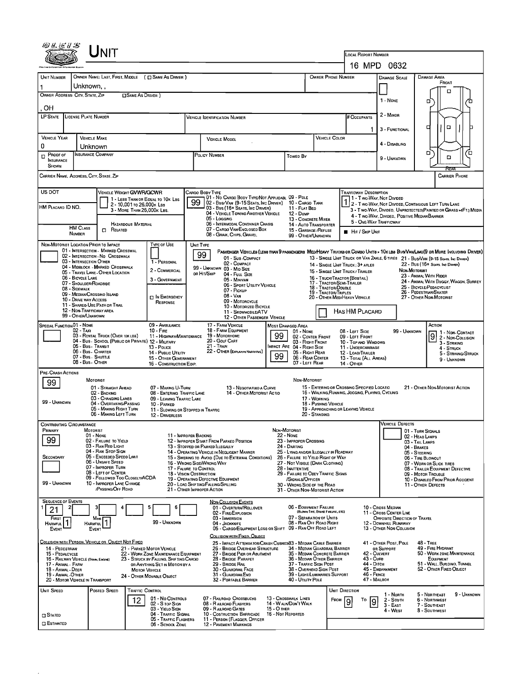| Unit                                                                                                                                                                                     |                                                                                                                                                       |                                                                                            |                                                                                                                              |
|------------------------------------------------------------------------------------------------------------------------------------------------------------------------------------------|-------------------------------------------------------------------------------------------------------------------------------------------------------|--------------------------------------------------------------------------------------------|------------------------------------------------------------------------------------------------------------------------------|
|                                                                                                                                                                                          |                                                                                                                                                       |                                                                                            | <b>LOCAL REPORT NUMBER</b><br>16 MPD 0632                                                                                    |
| <b>UNIT NUMBER</b><br>OWNER NAME: LAST, FIRST, MIDDLE ( $\Box$ SAME AS DRIVER )                                                                                                          |                                                                                                                                                       | <b>OWNER PHONE NUMBER</b>                                                                  | DAMAGE AREA<br><b>DAMAGE SCALE</b>                                                                                           |
| Unknown. .                                                                                                                                                                               |                                                                                                                                                       |                                                                                            | FRONT                                                                                                                        |
| OWNER ADDRESS: CITY, STATE, ZIP<br><b>CISAME AS DRIVER 1</b>                                                                                                                             |                                                                                                                                                       |                                                                                            | □<br>1 - NONE                                                                                                                |
| OH                                                                                                                                                                                       |                                                                                                                                                       |                                                                                            |                                                                                                                              |
| <b>LP STATE</b><br>LICENSE PLATE NUMBER                                                                                                                                                  | <b>VEHICLE IDENTIFICATION NUMBER</b>                                                                                                                  |                                                                                            | 2 - MINOR<br># Occupants                                                                                                     |
|                                                                                                                                                                                          |                                                                                                                                                       |                                                                                            | o<br>о<br>3 - FUNCTIONAL                                                                                                     |
| <b>VEHICLE YEAR</b><br><b>VEHICLE MAKE</b><br>0<br>Unknown                                                                                                                               | <b>VEHICLE MODEL</b>                                                                                                                                  | <b>VEHICLE COLOR</b>                                                                       | 4 - DISABLING                                                                                                                |
| INSURANCE COMPANY<br>PROOF OF<br>ם<br><b>INSURANCE</b><br>SHOWN                                                                                                                          | POLICY NUMBER                                                                                                                                         | <b>Towed By</b>                                                                            | ם<br>o<br>ם<br>9 - UNKNOWN                                                                                                   |
| CARRIER NAME, ADDRESS, CITY, STATE, ZIP                                                                                                                                                  |                                                                                                                                                       |                                                                                            | <b>CARRIER PHONE</b>                                                                                                         |
| US DOT<br>VEHICLE WEIGHT <b>GVWR/GCWR</b>                                                                                                                                                | Cargo Body Type<br>01 - No CARGO BODY TYPE/NOT APPLICABL 09 - POLE                                                                                    |                                                                                            | <b>TRAFFICWAY DESCRIPTION</b><br>11 - Two Way, Not Divided                                                                   |
| 1 - LESS THAN OR EQUAL TO 10K LBS<br>2 - 10,001 то 26,000к Las<br>HM PLACARD ID NO.<br>3 - MORE THAN 26.000K LBS.                                                                        | 99<br>102 - Bus/Van (9-15 Seats, Inc Driver)<br>03 - Bus (16+ Seats, Inc Driver)                                                                      | 10 - Cargo Tank<br>11 - FLAT BED                                                           | 2 - Two-Way, Not Divided, Continuous LEFT TURN LANE<br>3 - Two-Way, Divided, Unprotected (Painted or Grass - 4FT.) Media     |
|                                                                                                                                                                                          | 04 - VEHICLE TOWING ANOTHER VEHICLE<br>05 - Logging                                                                                                   | 12 - Dump<br>13 - CONCRETE MIXER                                                           | 4 - T WO-WAY, DIVIDED, POSITIVE MEDIAN BARRIER                                                                               |
| HAZARDOUS MATERIAL<br><b>HM CLASS</b><br>0<br>RELATED<br><b>NUMBER</b>                                                                                                                   | 06 - INTERMODAL CONTAINER CHASIS<br>07 - CARGO VAN/ENCLOSED BOX                                                                                       | 14 - Auto Transporter<br>15 - GARBAGE / REFUSE                                             | 5 - ONE-WAY TRAFFICWAY<br><b>HIT / SKIP UNIT</b>                                                                             |
| NON-MOTORIST LOCATION PRIOR TO IMPACT                                                                                                                                                    | 08 - GRAIN, CHIPS, GRAVEL<br><b>TYPE OF USE</b><br>UNIT TYPE                                                                                          | 99 - OTHER/UNKNOWN                                                                         |                                                                                                                              |
| 01 - INTERSECTION - MARKED CROSSWAL<br>02 - INTERSECTION - NO CROSSWALK                                                                                                                  | 99                                                                                                                                                    |                                                                                            | PASSENGER VEHICLES (LESS THAN 9 PASSENGERS MED/HEAVY TRUCKS OR COMBO UNITS > 10KLBS BUS/VAM/LIMO(9 OR MORE INCLUDING DRIVER) |
| 03 - INTERSECTION OTHER<br>04 - MIDBLOCK - MARKED CROSSWALK                                                                                                                              | 01 - Sub-COMPACT<br>1 - PERSONAL<br>02 - COMPACT<br>99 - Unknown 03 - Mid Size                                                                        | 14 - SINGLE UNIT TRUCK; 3+ AXLES                                                           | 13 - SINGLE UNIT TRUCK OR VAN 2AXLE, 6 TIRES 21 - BUS/VAN (9-15 SEATS, INC DRIVER)<br>22 - Bus (16+ Seats. Inc Driver)       |
| 05 - TRAVEL LANE - OTHER LOCATION<br>06 - BICYCLE LANE                                                                                                                                   | 2 - COMMERCIAL<br>OR HIT/SKIP<br>04 - Full Size<br>3 - GOVERNMENT<br>05 - MINIVAN                                                                     | 15 - SINGLE UNIT TRUCK / TRAILER<br>16 - Truck/Tractor (Bobtail)                           | NON-MOTORIST<br>23 - Animal With Rider                                                                                       |
| 07 - Shoulder/Roadside<br>08 - SIDEWALK                                                                                                                                                  | 06 - SPORT UTILITY VEHICLE<br>07 - Pickup                                                                                                             | 17 - TRACTOR/SEMI-TRAILER<br>18 - TRACTOR/DOUBLE<br>19 - TRACTOR/TRIPLES                   | 24 - ANIMAL WITH BUGGY, WAGON, SURREY<br>25 - BICYCLE/PEDACYCLIST<br>26 - PEDESTRIAN/SKATER                                  |
| 09 - MEDIAN/CROSSINO ISLAND<br>10 - DRIVE WAY ACCESS<br>11 - SHAREO-USE PATH OR TRAIL                                                                                                    | 08 - Van<br>$\Box$ In Emergency<br>09 - MOTORCYCLE<br>RESPONSE                                                                                        | 20 - OTHER MEDIHEAVY VEHICLE                                                               | 27 - OTHER NON-MOTORIST                                                                                                      |
| 12 - NON-TRAFFICWAY AREA<br>99 - OTHER/UNKNOWN                                                                                                                                           | 10 - MOTORIZED BICYCLE<br>11 - SNOWMOBILE/ATV<br>12 - OTHER PASSENGER VEHICLE                                                                         |                                                                                            | <b>HAS HM PLACARD</b>                                                                                                        |
| <b>SPECIAL FUNCTION 01 - NONE</b>                                                                                                                                                        | 17 - FARM VEHICLE<br>09 - AMBULANCE                                                                                                                   | MOST DAMAGED AREA                                                                          | Астюм                                                                                                                        |
| 02 - TAXI<br>$10 -$ Fire<br>03 - RENTAL TRUCK (OVER 10K LBS)<br>04 - Bus - School (Public or Private) 12 - Milltary                                                                      | 18 - FARM EQUIPMENT<br>19 - Мотовноме<br>11 - HIGHWAY/MAINTENANCE<br>20 - GOLF CART                                                                   | 01 - None<br>99<br>02 - CENTER FRONT<br>03 - Right Front                                   | 08 - LEFT SIDE<br>99 - Unknown<br>1 - Non-Contact<br>9<br>09 - LEFT FRONT<br>2 - Non-Collision                               |
| 05 - Bus - Transit<br>13 - Pouce<br>06 - Bus - CHARTER                                                                                                                                   | 21 - TRAIN<br>22 - OTHER (EXPLANIN NARRATIVE)<br>14 - PUBLIC UTILITY                                                                                  | MPACT ARE 04 - RIGHT SIDE<br>05 - RIGHT REAR                                               | 10 - Top and Windows<br>3 - STRIKING<br>11 - UNDERCARRIAGE<br>4 - STRUCK<br>12 - LOAD/TRAILER                                |
| 07 - Bus - SHUTTLE<br>08 - Bus - OTHER                                                                                                                                                   | 15 - OTHER GOVERNMENT<br>16 - CONSTRUCTION EQIP.                                                                                                      | 99<br>06 - REAR CENTER<br>07 - LEFT REAR<br>14 - Отнев                                     | 5 - STRIKING/STRUCK<br>13 - TOTAL (ALL AREAS)<br>9 - UNKNOWN                                                                 |
| PRE- CRASH ACTIONS                                                                                                                                                                       |                                                                                                                                                       |                                                                                            |                                                                                                                              |
| MOTORIST<br>99<br>01 - STRAIGHT AHEAD                                                                                                                                                    | 07 - MAKING U-TURN<br>13 - NEGOTIATINO A CURVE                                                                                                        | NON-MOTORIST<br>15 - ENTERING OR CROSSING SPECIFIED LOCATIO                                | 21 - OTHER NON-MOTORIST ACTION                                                                                               |
| 02 - BACKING<br>03 - CHANGING LANES                                                                                                                                                      | 14 - OTHER MOTORIST ACTIO<br>08 - ENTERING TRAFFIC LANE<br>09 - LEAVING TRAFFIC LANE                                                                  | 16 - WALKING, RUNNING, JOGGING, PLAYING, CYCLING<br>17 - WORKING                           |                                                                                                                              |
| 99 - UNKNOWN<br>04 - OVERTAKING/PASSING<br>05 - MAKING RIGHT TURN                                                                                                                        | 10 - PARKED<br>11 - SLOWING OR STOPPED IN TRAFFIC                                                                                                     | 18 - Pushing Vehicle<br>19 - APPROACHING OR LEAVING VEHICLE                                |                                                                                                                              |
| 06 - MAKING LEFT TURN<br><b>CONTRIBUTING CIRCUMSTANCE</b>                                                                                                                                | 12 - DRIVERLESS                                                                                                                                       | 20 - STANDING                                                                              | <b>VEHICLE DEFECTS</b>                                                                                                       |
| <b>MOTORIST</b><br>Primary<br>01 - NONE                                                                                                                                                  | 11 - IMPROPER BACKING                                                                                                                                 | NON-MOTORIST<br><b>22 - NONE</b>                                                           | 01 - TURN SIGNALS<br>02 - HEAD LAMPS                                                                                         |
| 99<br>02 - FAILURE TO YIELD<br>03 - Ran Red Light                                                                                                                                        | 12 - IMPROPER START FROM PARKED POSITION<br>13 - Stopped or Parked Llegally                                                                           | 23 - IMPROPER CROSSING<br>24 - DARTING                                                     | 03 - TAIL LAMPS<br>04 - BRAKES                                                                                               |
| 04 - RAN STOP SIGN<br>05 - Exceeded Speed Limit<br>SECONDARY<br>06 - UNSAFE SPEED                                                                                                        | 14 - OPERATING VEHICLE IN NEGLIGENT MANNER<br>15 - SWERING TO AVOID (DUE TO EXTERNAL CONDITIONS)                                                      | 25 - LYING AND/OR ILLEGALLY IN ROADWAY<br>26 - FALURE TO YIELD RIGHT OF WAY                | 05 - STEERING<br>06 - TIRE BLOWOUT                                                                                           |
| 07 - Improper Turn<br>08 - LEFT OF CENTER                                                                                                                                                | 16 - WRONG SIDE/WRONG WAY<br>17 - FALURE TO CONTROL<br>18 - VISION OBSTRUCTION                                                                        | 27 - NOT VISIBLE (DARK CLOTHING)<br>28 - INATTENTIVE<br>29 - FAILURE TO OBEY TRAFFIC SIGNS | 07 - WORN OR SLICK TIRES<br>08 - TRAILER EQUIPMENT DEFECTIVE<br>09 - MOTOR TROUBLE                                           |
| 09 - FOLLOWED TOO CLOSELY/ACDA<br>99 - UNKNOWN<br>10 - IMPROPER LANE CHANGE                                                                                                              | 19 - OPERATING DEFECTIVE EQUIPMENT<br>20 - LOAD SHIFTING/FALLING/SPILLING                                                                             | /SIGNALS/OFFICER<br>30 - WRONG SIDE OF THE ROAD                                            | 10 - DISABLEO FROM PRIOR ACCIDENT<br>11 - OTHER DEFECTS                                                                      |
| /PASSING/OFF ROAD                                                                                                                                                                        | 21 - OTHER IMPROPER ACTION                                                                                                                            | 31 - OTHER NON-MOTORIST ACTION                                                             |                                                                                                                              |
| <b>SEQUENCE OF EVENTS</b><br>5<br>21                                                                                                                                                     | <b>NON-COLUSION EVENTS</b><br>6<br>01 - OVERTURN/ROLLOVER                                                                                             | 06 - EOUIPMENT FAILURE<br>(BLOWN TIRE, BRAKE FAILURE, ETC)                                 | 10 - Cross Median                                                                                                            |
| FIRST<br>Most<br>HARMFUL <sup>1</sup>                                                                                                                                                    | 02 - FIRE/EXPLOSION<br>03 - IMMERSION<br>99 - Unknown                                                                                                 | 07 - SEPARATION OF UNITS<br>08 - RAN OFF ROAD RIGHT                                        | 11 - Cross CENTER LINE<br>Opposite Direction of Travel                                                                       |
| <b>HARMFUL</b><br>EVENT<br>EVENT                                                                                                                                                         | 04 - JACKKNIFE                                                                                                                                        | 05 - CARGO/EQUIPMENT LOSS OR SHIFT 09 - RAN OFF ROAD LEFT                                  | 12 - DOWNHILL RUNAWAY<br>13 - OTHER NON-COLLISION                                                                            |
| COLLISION WITH PERSON, VEHICLE OR OBJECT NOT FIXED                                                                                                                                       | COLLISION WITH FIXED, OBJECT                                                                                                                          | 25 - IMPACT ATTENUATOR/CRASH CUSHIOX33 - MEDIAN CABLE BARRIER                              | 41 - OTHER POST, POLE<br><b>48 - TREE</b>                                                                                    |
| 21 - PARKED MOTOR VEHICLE<br>14 - PEDESTRIAN<br>15 - PEDALCYCLE<br>22 - WORK ZONE MAINTENANCE EQUIPMENT<br>16 - RAILWAY VEHICLE (TRAN, ENGINE)<br>23 - STRUCK BY FALLING, SHIFTING CARGO | 26 - BRIDGE OVERHEAD STRUCTURE<br>27 - BRIDGE PIER OR ABUTMENT<br>28 - BRIDGE PARAPET                                                                 | 34 - MEDIAN GUARDRAIL BARRIER<br>35 - MEDIAN CONCRETE BARRIER<br>36 - MEDIAN OTHER BARRIER | 49 - FIRE HYDRANT<br>OR SUPPORT<br>50 - WORK ZONE MAINTENANCE<br>42 - CULVERT<br>43 - Cure<br>EQUIPMENT                      |
| 17 - Animal - Farm<br>OR ANYTHING SET IN MOTION BY A<br>18 - Animal - Deer<br><b>MOTOR VEHICLE</b>                                                                                       | 29 - BRIDGE RAIL<br>30 - GUARDRAIL FACE                                                                                                               | 37 - TRAFFIC SIGN POST<br>38 - OVERHEAD SIGN POST                                          | 44 - Олсн<br>51 - WALL, BUILDINO, TUNNEL<br>45 - EMBANKMENT<br>52 - OTHER FIXED OBJECT                                       |
| 19 - ANIMAL OTHER<br>24 - OTHER MOVABLE OBJECT<br>20 - MOTOR VEHICLE IN TRANSPORT                                                                                                        | 31 GUARDRAILEND<br>32 - PORTABLE BARRIER                                                                                                              | 39 - LIGHT/LUMINARIES SUPPORT<br>40 - UTILITY POLE                                         | 46 - FENCE<br>47 - MAILBOX                                                                                                   |
| POSTED SPEED<br><b>TRAFFIC CONTROL</b><br>UNIT SPEED                                                                                                                                     |                                                                                                                                                       | <b>UNIT DIRECTION</b>                                                                      | 1 - North<br>5 - Northeast<br>9 - Unknown                                                                                    |
| 12                                                                                                                                                                                       | 07 - RAILROAD CROSSBUCKS<br>01 - No CONTROLS<br>02 - S TOP SIGN<br>08 - R AILROAD FLASHERS                                                            | 13 - Crosswalk LINES<br>FROM<br>Ι9<br>14 - WALK/DON'T WALK                                 | 2 - South<br>6 - NORTHWEST<br>То<br>7 - SOUTHEAST<br>3 - East                                                                |
| <b>STATED</b>                                                                                                                                                                            | 03 - Yielo Sign<br>09 - RAILROAD GATES<br>04 - TRAFFIC SIGNAL<br>10 - COSTRUCTION BARRICADE<br>05 - TRAFFIC FLASHERS<br>11 - PERSON (FLAGGER, OFFICER | <b>15 - O THER</b><br>16 - Not Reported                                                    | 8 - SOUTHWEST<br>4 - West                                                                                                    |
| <b>CI ESTIMATED</b>                                                                                                                                                                      | 06 - SCHOOL ZONE<br><b>12 - PAVEMENT MARKINGS</b>                                                                                                     |                                                                                            |                                                                                                                              |

 $\mathcal{L}(\mathcal{L})$  .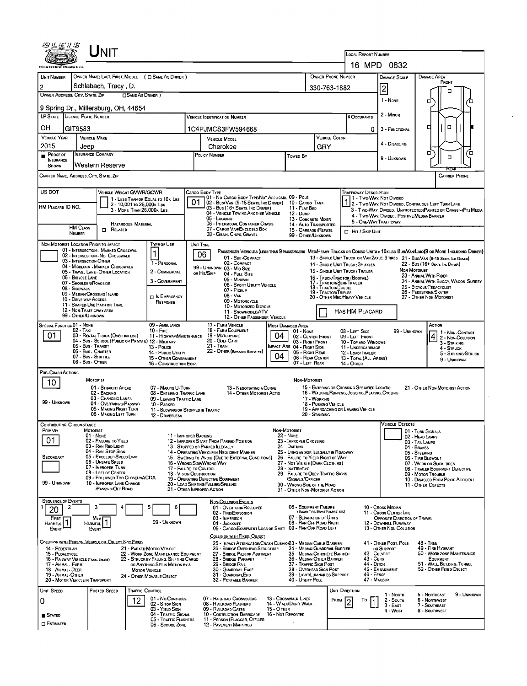| 细丛伝り面                                       |                                             | UNIT                                                                                   |                                                          |                                                                          |    |                                                                                                  |                                  |                                                                             |                                             | LOCAL REPORT NUMBER                                                                             |                                                    |              |                                                                                                                                                                                                                     |
|---------------------------------------------|---------------------------------------------|----------------------------------------------------------------------------------------|----------------------------------------------------------|--------------------------------------------------------------------------|----|--------------------------------------------------------------------------------------------------|----------------------------------|-----------------------------------------------------------------------------|---------------------------------------------|-------------------------------------------------------------------------------------------------|----------------------------------------------------|--------------|---------------------------------------------------------------------------------------------------------------------------------------------------------------------------------------------------------------------|
|                                             |                                             |                                                                                        |                                                          |                                                                          |    |                                                                                                  |                                  |                                                                             |                                             | 16 MPD 0632                                                                                     |                                                    |              |                                                                                                                                                                                                                     |
| UNIT NUMBER                                 |                                             |                                                                                        |                                                          | OWNER NAME: LAST, FIRST, MIDDLE ( C SAME AS DRIVER )                     |    |                                                                                                  |                                  |                                                                             | OWNER PHONE NUMBER                          |                                                                                                 | <b>DAMAGE SCALE</b>                                |              | DAMAGE AREA                                                                                                                                                                                                         |
| $\overline{2}$                              |                                             | Schlabach, Tracy, D.                                                                   |                                                          |                                                                          |    |                                                                                                  |                                  |                                                                             | 330-763-1882                                |                                                                                                 | $\overline{2}$                                     |              | <b>FRONT</b>                                                                                                                                                                                                        |
| OWNER ADDRESS: CITY, STATE, ZIP             |                                             |                                                                                        | <b>CISAME AS DRIVER</b> )                                |                                                                          |    |                                                                                                  |                                  |                                                                             |                                             |                                                                                                 |                                                    |              | ۵                                                                                                                                                                                                                   |
|                                             |                                             | 9 Spring Dr., Millersburg, OH, 44654                                                   |                                                          |                                                                          |    |                                                                                                  |                                  |                                                                             |                                             |                                                                                                 | 1 - None                                           |              | □<br>ά                                                                                                                                                                                                              |
| LP STATE LICENSE PLATE NUMBER               |                                             |                                                                                        |                                                          |                                                                          |    | Vehicle Identification Number                                                                    |                                  |                                                                             |                                             | # OCCUPANTS                                                                                     | 2 - Minor                                          |              |                                                                                                                                                                                                                     |
|                                             |                                             |                                                                                        |                                                          |                                                                          |    |                                                                                                  |                                  |                                                                             |                                             |                                                                                                 |                                                    |              | α                                                                                                                                                                                                                   |
| он                                          | GIT9583                                     |                                                                                        |                                                          |                                                                          |    | 1C4PJMCS3FW594668                                                                                |                                  |                                                                             |                                             | 0                                                                                               | 3 - FUNCTIONAL                                     |              | □                                                                                                                                                                                                                   |
| <b>VEHICLE YEAR</b><br>2015                 |                                             | <b>VEHICLE MAKE</b>                                                                    |                                                          |                                                                          |    | <b>VEHICLE MODEL</b>                                                                             |                                  |                                                                             | <b>VEHICLE COLOR</b>                        |                                                                                                 | 4 - DISABLING                                      |              |                                                                                                                                                                                                                     |
| $P_{\text{ROOF OF}}$                        | Jeep                                        | Insurance Company                                                                      |                                                          |                                                                          |    | Cherokee<br><b>POLICY NUMBER</b>                                                                 |                                  | Towen By                                                                    | GRY                                         |                                                                                                 |                                                    |              | □<br>Έ.                                                                                                                                                                                                             |
| <b>INSURANCE</b>                            |                                             |                                                                                        |                                                          |                                                                          |    |                                                                                                  |                                  |                                                                             |                                             |                                                                                                 | 9 - Unknown                                        |              | α                                                                                                                                                                                                                   |
| SHOWN                                       |                                             | Western Reserve                                                                        |                                                          |                                                                          |    |                                                                                                  |                                  |                                                                             |                                             |                                                                                                 |                                                    |              | REA                                                                                                                                                                                                                 |
| CARRIER NAME, ADDRESS, CITY, STATE, ZIP     |                                             |                                                                                        |                                                          |                                                                          |    |                                                                                                  |                                  |                                                                             |                                             |                                                                                                 |                                                    |              | <b>CARRIER PHONE</b>                                                                                                                                                                                                |
| US DOT                                      |                                             | <b>VEHICLE WEIGHT GVWR/GCWR</b>                                                        |                                                          |                                                                          |    | CARGO BODY TYPE                                                                                  |                                  |                                                                             |                                             | <b>TRAFFICWAY DESCRIPTION</b>                                                                   |                                                    |              |                                                                                                                                                                                                                     |
|                                             |                                             |                                                                                        |                                                          | 1 - LESS THAN OR EQUAL TO 10K LBS                                        | 01 | 01 - No CARGO BODY TYPE/NOT APPLICABL 09 - POLE                                                  |                                  |                                                                             |                                             | 1 - Two Way Nor Divided                                                                         |                                                    |              |                                                                                                                                                                                                                     |
| HM PLACARD ID NO.                           |                                             |                                                                                        | 2 - 10,001 ro 26,000 k LBS<br>3 - MORE THAN 26,000K LBS. |                                                                          |    | 02 - Bus/Van (9-15 Seats, Inc Driver) 10 - Cargo Tank<br>03 - Bus (16+ Seats, Inc Driver)        |                                  | 11 - FLAT BED                                                               |                                             |                                                                                                 |                                                    |              | 2 - Two-Way, Not Divided, Continuous Left Turn Lane<br>3 - Two-Way, Divided, UNPROTECTED (PAINTED OR GRASS >4FT.) MEDIA                                                                                             |
|                                             |                                             |                                                                                        |                                                          |                                                                          |    | 04 - VEHICLE TOWING ANOTHER VEHICLE<br>05 - Logging                                              |                                  | 12 - Dump<br>13 - CONCRETE MIXER                                            |                                             |                                                                                                 |                                                    |              | 4 - Two-Way, DIVIDED, POSITIVE MEDIAN BARRIER                                                                                                                                                                       |
|                                             | <b>HM CLASS</b>                             | <b>O</b> RELATED                                                                       | HAZARDOUS MATERIAL                                       |                                                                          |    | 06 - INTERMODAL CONTAINER CHASIS<br>07 - CARGO VAN/ENCLOSEO BOX                                  |                                  | 14 - AUTO TRANSPORTER<br>15 - GARBAGE / REFUSE                              |                                             | 5 - ONE-WAY TRAFFICWAY                                                                          |                                                    |              |                                                                                                                                                                                                                     |
|                                             | NUMBER                                      |                                                                                        |                                                          |                                                                          |    | 08 - GRAIN, CHIPS, GRAVEL                                                                        |                                  | 99 - OTHER/UNKNOWN                                                          |                                             | HIT / SKIP UNIT                                                                                 |                                                    |              |                                                                                                                                                                                                                     |
|                                             |                                             | NON-MOTORIST LOCATION PRIOR TO IMPACT                                                  |                                                          | <b>TYPE OF USE</b>                                                       |    | UNIT TYPE                                                                                        |                                  |                                                                             |                                             |                                                                                                 |                                                    |              |                                                                                                                                                                                                                     |
|                                             |                                             | 01 - INTERSECTION - MARKED CROSSWAL<br>02 - INTERSECTION - NO CROSSWALK                |                                                          |                                                                          |    | 06<br>01 - Sub-COMPACT                                                                           |                                  |                                                                             |                                             |                                                                                                 |                                                    |              | PASSENGER VEHICLES (LESS THAN 9 PASSENGERS MEDIMEANY TRUCKS OR COMBO UNITS > 10K LBS BUS/VAM/LIMO(9 OR MORE INCLUDING DRIVER)<br>13 - SINGLE UNIT TRUCK OR VAN 2AXLE, 6 TIRES 21 - BUS/VAN (9-15 SEATS, INC DRIVER) |
|                                             | 03 - INTERSECTION OTHER                     | 04 - MIDBLOCK - MARKED CROSSWALK                                                       |                                                          | 1 - PERSONAL                                                             |    | 02 - COMPACT                                                                                     |                                  |                                                                             |                                             | 14 - SINGLE UNIT TRUCK: 3+ AXLES                                                                |                                                    |              | 22 - Bus (16+ Seats, Inc Driver)                                                                                                                                                                                    |
|                                             |                                             | 05 - TRAVEL LANE - OTHER LOCATION                                                      |                                                          | 2 - COMMERCIAL                                                           |    | 99 - UNKNOWN 03 - MID SIZE<br>OR HIT/SKIP<br>04 - FutL Size                                      |                                  |                                                                             |                                             | 15 - SINGLE UNIT TRUCK / TRAILER                                                                |                                                    | Non-Motorist | 23 - ANIMAL WITH RIDER                                                                                                                                                                                              |
|                                             | 06 - BICYCLE LANE<br>07 - Shoulder/Roadside |                                                                                        |                                                          | 3 - GOVERNMENT                                                           |    | 05 - MINIVAN<br>06 - Sport UTILITY VEHICLE                                                       |                                  |                                                                             |                                             | 16 - TRUCK/TRACTOR (BOBTAIL)<br>17 - TRACTOR/SEMI-TRAILER                                       |                                                    |              | 24 - ANIMAL WITH BUGGY, WAGON, SURREY                                                                                                                                                                               |
|                                             | 08 - SIDEWALK                               | 09 - MEDIAN/CROSSING ISLAND                                                            |                                                          |                                                                          |    | 07 - Pickup                                                                                      |                                  |                                                                             | 18 - TRACTOR/DOUBLE<br>19 - TRACTOR/TRIPLES |                                                                                                 |                                                    |              | 25 - BICYCLE/PEDACYCLIST<br>26 - PEDESTRIAN/SKATER                                                                                                                                                                  |
|                                             | 10 - DRIVE WAY ACCESS                       |                                                                                        |                                                          | <b>DIN EMERGENCY</b><br>RESPONSE                                         |    | $08 - Van$<br>09 - MOTORCYCLE                                                                    |                                  |                                                                             |                                             | 20 - OTHER MEO/HEAVY VEHICLE                                                                    |                                                    |              | 27 - OTHER NON-MOTORIST                                                                                                                                                                                             |
|                                             | 12 - NON-TRAFFICWAY AREA                    | 11 - SHARED-USE PATH OR TRAIL                                                          |                                                          |                                                                          |    | 10 - MOTORIZED BICYCLE<br>11 - SNOWMOBILE/ATV                                                    |                                  |                                                                             |                                             | HAS HM PLACARD                                                                                  |                                                    |              |                                                                                                                                                                                                                     |
|                                             | 99 - OTHER/UNKNOWN                          |                                                                                        |                                                          |                                                                          |    | 12 - OTHER PASSENGER VEHICLE                                                                     |                                  |                                                                             |                                             |                                                                                                 |                                                    |              |                                                                                                                                                                                                                     |
| SPECIAL FUNCTION 01 - NONE                  | 02 - TAXI                                   |                                                                                        |                                                          | 09 - AMBULANCE<br>$10 - FIRE$                                            |    | 17 - FARM VEHICLE<br>18 - FARM EQUIPMENT                                                         |                                  | MOST DAMAGED AREA<br>01 - NONE                                              |                                             | 08 - LEFT SIDE                                                                                  |                                                    | 99 - UNKNOWN | ACTION                                                                                                                                                                                                              |
| 01                                          |                                             | 03 - RENTAL TRUCK (OVER 10KLBS)<br>04 - BUS - SCHOOL (PUBLIC OR PRIVATE) 12 - MILITARY |                                                          | 11 - HIGHWAY/MAINTENANCE                                                 |    | 19 - Мотовноме<br>20 - GOLF CART                                                                 | 04                               | 02 - CENTER FRONT                                                           |                                             | 09 - LEFT FRONT                                                                                 |                                                    |              | 1 1 - Non- Contact<br>4 2 - Non-Contact<br>4 2 - Non-Collision                                                                                                                                                      |
|                                             |                                             | 05 - Bus Transit                                                                       |                                                          | 13 - Pouce                                                               |    | $21 -$ TRAIN                                                                                     |                                  | 03 - RIGHT FRONT<br>IMPACT ARE 04 - RIGHT SIDE                              |                                             | 10 - TOP AND WINDOWS<br>11 - UNDERCARRIAGE                                                      |                                                    |              | 3 - STRIKING<br>$4 -$ Struck                                                                                                                                                                                        |
|                                             |                                             | 06 - Bus - CHARTER<br>07 - Bus - SHUTTLE                                               |                                                          | 14 - PUBLIC UTILITY<br>15 - OTHER GOVERNMENT                             |    | 22 - OTHER (EXPLAININ NARRATIVE)                                                                 | 04                               | 05 - RIGHT REAR<br>06 - REAR CENTER                                         |                                             | 12 - LOAD/TRAILER<br>13 - TOTAL (ALL AREAS)                                                     |                                                    |              | 5 - STRIKING/STRUCK                                                                                                                                                                                                 |
|                                             | 08 - Bus - OTHER                            |                                                                                        |                                                          | 16 - CONSTRUCTION EOIP.                                                  |    |                                                                                                  |                                  | 07 - LEFT REAR                                                              |                                             | 14 - Отнев                                                                                      |                                                    |              | 9 - UNKNOWN                                                                                                                                                                                                         |
| PRE- CRASH ACTIONS                          |                                             |                                                                                        |                                                          |                                                                          |    |                                                                                                  |                                  |                                                                             |                                             |                                                                                                 |                                                    |              |                                                                                                                                                                                                                     |
| 10                                          |                                             | <b>MOTORIST</b>                                                                        |                                                          |                                                                          |    |                                                                                                  |                                  | NON-MOTORIST                                                                |                                             |                                                                                                 |                                                    |              |                                                                                                                                                                                                                     |
|                                             |                                             | 01 - STRAIGHT AHEAD<br>02 - BACKING                                                    |                                                          | 07 - MAKING U-TURN<br>08 - ENTERING TRAFFIC LANE                         |    | 13 - NEGOTIATING A CURVE<br>14 - OTHER MOTORIST ACTIO                                            |                                  |                                                                             |                                             | 15 - ENTERING OR CROSSING SPECIFIED LOCATIO<br>16 - WALKING, RUNNING, JOGGING, PLAYING, CYCLING |                                                    |              | 21 - OTHER NON-MOTORIST ACTION                                                                                                                                                                                      |
| 99 - Unknown                                |                                             | 03 - CHANGING LANES<br>04 - OVERTAKING/PASSING                                         |                                                          | 09 - LEAVING TRAFFIC LANE<br>10 - PARKED                                 |    |                                                                                                  |                                  |                                                                             | 17 - WORKING<br>18 - PUSHING VEHICLE        |                                                                                                 |                                                    |              |                                                                                                                                                                                                                     |
|                                             |                                             | 05 - MAKING RIGHT TURN                                                                 |                                                          | 11 - SLOWING OR STOPPED IN TRAFFIC                                       |    |                                                                                                  |                                  |                                                                             |                                             | 19 - APPROACHING OR LEAVING VEHICLE                                                             |                                                    |              |                                                                                                                                                                                                                     |
|                                             |                                             | 06 - MAKING LEFT TURN                                                                  |                                                          | 12 - DRIVERLESS                                                          |    |                                                                                                  |                                  |                                                                             | 20 - STANDING                               |                                                                                                 |                                                    |              |                                                                                                                                                                                                                     |
| <b>CONTRIBUTING CIRCUMSTANCE</b><br>PRIMARY |                                             | <b>MOTORIST</b>                                                                        |                                                          |                                                                          |    |                                                                                                  | NON-MOTORIST                     |                                                                             |                                             |                                                                                                 | VEHICLE DEFECTS                                    |              | 01 - TURN SIGNALS                                                                                                                                                                                                   |
| 01                                          |                                             | 01 - None<br>02 - FAILURE TO YIELD                                                     |                                                          | 11 - IMPROPER BACKING                                                    |    | 12 - IMPROPER START FROM PARKED POSITION                                                         | <b>22 - NONE</b>                 | 23 - IMPROPER CROSSING                                                      |                                             |                                                                                                 |                                                    |              | 02 - HEAD LAMPS                                                                                                                                                                                                     |
|                                             |                                             | 03 - RAN RED LIGHT                                                                     |                                                          |                                                                          |    | 13 - STOPPED OR PARKED ILLEGALLY                                                                 |                                  | 24 - DARTING                                                                |                                             |                                                                                                 |                                                    | 04 - BRAKES  | 03 - TAIL LAMPS                                                                                                                                                                                                     |
| SECONDARY                                   |                                             | 04 - RAN STOP SIGN<br>05 - Exceeded Speed LIMIT                                        |                                                          |                                                                          |    | 14 - OPERATING VEHICLE IN NEGLIGENT MANNER<br>15 - SWERING TO AVOID (DUE TO EXTERNAL CONDITIONS) |                                  | 25 - LYING AND/OR ILLEGALLY IN ROADWAY<br>26 - FALURE TO YIELD RIGHT OF WAY |                                             |                                                                                                 |                                                    |              | 05 - STEERING<br>06 - TIRE BLOWOUT                                                                                                                                                                                  |
|                                             |                                             | 06 - UNSAFE SPEED<br>07 - IMPROPER TURN                                                |                                                          | 17 - FALURE TO CONTROL                                                   |    | 16 - Wrong Side/Wrong Way                                                                        |                                  | 27 - NOT VISIBLE (DARK CLOTHING)<br>28 - INATTENTIVE                        |                                             |                                                                                                 |                                                    |              | 07 - WORN OR SLICK TIRES                                                                                                                                                                                            |
|                                             |                                             | 08 - LEFT OF CENTER                                                                    |                                                          | 18 - VISION OBSTRUCTION                                                  |    |                                                                                                  |                                  | 29 - FAILURE TO OBEY TRAFFIC SIGNS                                          |                                             |                                                                                                 |                                                    |              | 08 - TRAILER EQUIPMENT DEFECTIVE<br>09 - MOTOR TROUBLE                                                                                                                                                              |
| 99 - UNKNOWN                                |                                             | 09 - FOLLOWED TOO CLOSELY/ACDA<br>10 - IMPROPER LANE CHANGE                            |                                                          |                                                                          |    | 19 - OPERATING DEFECTIVE EQUIPMENT<br>20 - LOAD SHIFTING/FALLING/SPILLING                        |                                  | /SIGNALS/OFFICER<br>30 - WRONG SIDE OF THE ROAD                             |                                             |                                                                                                 |                                                    |              | 10 - DISABLED FROM PRIOR ACCIDENT<br>11 - OTHER DEFECTS                                                                                                                                                             |
|                                             |                                             | <b>/PASSING/OFF ROAD</b>                                                               |                                                          |                                                                          |    | 21 - Other IMPROPER ACTION                                                                       |                                  | 31 - OTHER NON-MOTORIST ACTION                                              |                                             |                                                                                                 |                                                    |              |                                                                                                                                                                                                                     |
| <b>SEQUENCE OF EVENTS</b>                   |                                             |                                                                                        |                                                          |                                                                          |    | <b>NON-COLLISION EVENTS</b>                                                                      |                                  |                                                                             |                                             |                                                                                                 |                                                    |              |                                                                                                                                                                                                                     |
| 20                                          |                                             | 3                                                                                      |                                                          | 6                                                                        |    | 01 - OVERTURN/ROLLOVER<br>02 - FIRE/EXPLOSION                                                    |                                  | 06 - EOUIPMENT FAILURE                                                      | (BLOWN TIRE, BRAKE FAILURE, ETC)            |                                                                                                 | 10 - Cross Median<br>11 - Cross CENTER LINE        |              |                                                                                                                                                                                                                     |
| FIRST<br>HARMFUL <sup>1</sup>               |                                             | Most                                                                                   |                                                          | 99 - UNKNOWN                                                             |    | 03 - IMMERSION<br>04 - JACKKNIFE                                                                 |                                  | 07 - SEPARATION OF UNITS<br>08 - RAN OFF ROAD RIGHT                         |                                             | 12                                                                                              | OPPOSITE DIRECTION OF TRAVEL<br>- DOWNHILL RUNAWAY |              |                                                                                                                                                                                                                     |
| EVENT                                       |                                             | <b>HARMFUL</b><br>EVENT                                                                |                                                          |                                                                          |    | 05 - CARGO/EQUIPMENT LOSS OR SHIFT 09 - RAN OFF ROAD LEFT                                        |                                  |                                                                             |                                             |                                                                                                 | 13 - OTHER NON-COLLISION                           |              |                                                                                                                                                                                                                     |
|                                             |                                             |                                                                                        |                                                          |                                                                          |    | COLLISION WITH FIXED, OBJECT                                                                     |                                  |                                                                             |                                             |                                                                                                 |                                                    |              |                                                                                                                                                                                                                     |
| 14 - PEDESTRIAN                             |                                             | <u>Collision with Person, Vehicle or Object Not Fixed</u>                              |                                                          | 21 - PARKED MOTOR VEHICLE                                                |    | 25 - IMPACT ATTENUATOR/CRASH CUSHION33 - MEDIAN CABLE BARRIER<br>26 - BRIDGE OVERHEAD STRUCTURE  |                                  | 34 - MEDIAN GUARDRAIL BARRIER                                               |                                             |                                                                                                 | 41 - OTHER POST, POLE<br>OR SUPPORT                |              | 48 - TREE<br>49 - Fire Hydrant                                                                                                                                                                                      |
| 15 - PEDALCYCLE                             |                                             |                                                                                        |                                                          | 22 - WORK ZONE MAINTENANCE EQUIPMENT                                     |    | 27 - BRIDGE PIER OR ABUTMENT<br>28 - BRIDGE PARAPET                                              |                                  | 35 - MEDIAN CONCRETE BARRIER<br>36 - MEDIAN OTHER BARRIER                   |                                             | 43 - Cure                                                                                       | 42 - Culvert                                       |              | 50 - WORK ZONE MAINTENANCE<br>EQUIPMENT                                                                                                                                                                             |
| 17 - ANIMAL - FARM                          | 16 - RAILWAY VEHICLE (TRAIN, ENGINE)        |                                                                                        |                                                          | 23 - STRUCK BY FALLING, SHIFTING CARGO<br>OR ANYTHING SET IN MOTION BY A |    | 29 - BRIDGE RAIL                                                                                 |                                  | 37 - TRAFFIC SIGN POST                                                      |                                             | 44 - Олтон                                                                                      |                                                    |              | 51 - WALL, BUILDING, TUNNEL                                                                                                                                                                                         |
| 18 - Animal - Deer<br>19 - Animal - OTHER   |                                             |                                                                                        | <b>MOTOR VEHICLE</b>                                     | 24 - OTHER MOVABLE OBJECT                                                |    | 30 - GUARDRAIL FACE<br>31 - GUARDRAILEND                                                         |                                  | 38 - OVERHEAD SIGN POST<br>39 - LIGHT/LUMINARIES SUPPORT                    |                                             | 46 - FENCE                                                                                      | 45 - EMBANKMENT                                    |              | 52 - OTHER FIXED OBJECT                                                                                                                                                                                             |
|                                             | 20 - MOTOR VEHICLE IN TRANSPORT             |                                                                                        |                                                          |                                                                          |    | 32 - PORTABLE BARRIER                                                                            |                                  | 40 - UTILITY POLE                                                           |                                             | 47 - MAILBOX                                                                                    |                                                    |              |                                                                                                                                                                                                                     |
| UNIT SPEED                                  |                                             | POSTED SPEED                                                                           | TRAFFIC CONTROL                                          |                                                                          |    |                                                                                                  |                                  |                                                                             |                                             | UNIT DIRECTION                                                                                  | 1 - Noam                                           |              | 5 - Northeast<br>9 - UNKNOWN                                                                                                                                                                                        |
| 0                                           |                                             |                                                                                        | 12.                                                      | 01 - No CONTROLS<br>02 - S TOP SIGN                                      |    | 07 - RAILROAD CROSSBUCKS<br>08 - R AILROAD FLASHERS                                              |                                  | 13 - Crosswalk Lines<br>14 - Walk/Don't Walk                                |                                             | FROM<br>To                                                                                      | 2 - South                                          |              | 6 - NORTHWEST                                                                                                                                                                                                       |
|                                             |                                             |                                                                                        |                                                          | 03 - YIELD SIGN                                                          |    | 09 - RAILROAD GATES<br>10 - COSTRUCTION BARRICADE                                                | 15 - О тнев<br>16 - Not Reported |                                                                             |                                             |                                                                                                 | $3 - EAST$<br>4 - West                             |              | 7 - SOUTHEAST<br>8 - Southwest                                                                                                                                                                                      |
| <b>STATED</b>                               |                                             |                                                                                        |                                                          | 04 - TRAFFIC SIGNAL<br>05 - TRAFFIC FLASHERS                             |    | 11 - PERSON (FLAGGER, OFFICER                                                                    |                                  |                                                                             |                                             |                                                                                                 |                                                    |              |                                                                                                                                                                                                                     |
| $\square$ Estimated                         |                                             |                                                                                        |                                                          | 06 - School Zone                                                         |    | 12 - PAVEMENT MARKINGS                                                                           |                                  |                                                                             |                                             |                                                                                                 |                                                    |              |                                                                                                                                                                                                                     |

 $\mathcal{L}^{\text{max}}_{\text{max}}$ 

 $\mathcal{L}^{\pm}$